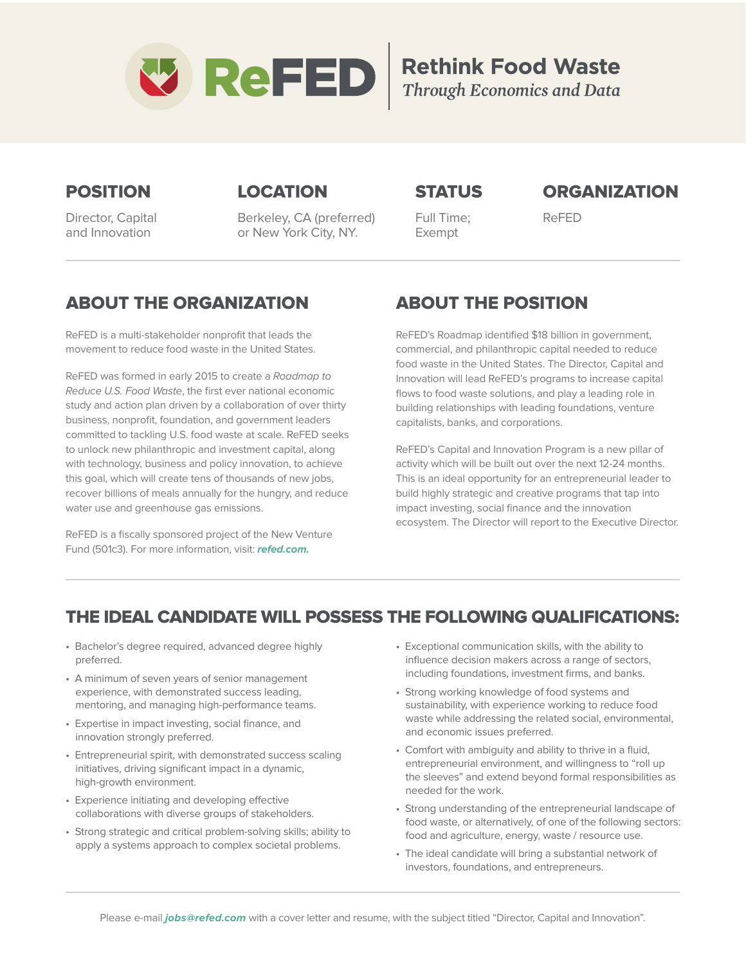

**Rethink Food Waste**<br>Through Economics and Data

### POSITION

Director, Capital and Innovation

## LOCATION

Berkeley, CA (preferred) or New York City, NY.

### **STATUS**

### **ORGANIZATION**

Full Time; Exempt

ReFED

## ABOUT THE ORGANIZATION

ReFED is a multi-stakeholder nonprofit that leads the movement to reduce food waste in the United States.

ReFED was formed in early 2015 to create a Roadmap to Reduce U.S. Food Waste, the first ever national economic study and action plan driven by a collaboration of over thirty business, nonprofit, foundation, and government leaders committed to tackling U.S. food waste at scale. ReFED seeks to unlock new philanthropic and investment capital, along with technology, business and policy innovation, to achieve this goal, which will create tens of thousands of new jobs, recover billions of meals annually for the hungry, and reduce water use and greenhouse gas emissions.

ReFED is a fiscally sponsored project of the New Venture Fund (501c3). For more information, visit: **refed.com.**

# ABOUT THE POSITION

ReFED's Roadmap identified \$18 billion in government, commercial, and philanthropic capital needed to reduce food waste in the United States. The Director, Capital and Innovation will lead ReFED's programs to increase capital flows to food waste solutions, and play a leading role in building relationships with leading foundations, venture capitalists, banks, and corporations.

ReFED's Capital and Innovation Program is a new pillar of activity which will be built out over the next 12-24 months. This is an ideal opportunity for an entrepreneurial leader to build highly strategic and creative programs that tap into impact investing, social finance and the innovation ecosystem. The Director will report to the Executive Director.

## THE IDEAL CANDIDATE WILL POSSESS THE FOLLOWING QUALIFICATIONS:

- Bachelor's degree required, advanced degree highly preferred.
- A minimum of seven years of senior management experience, with demonstrated success leading, mentoring, and managing high-performance teams.
- Expertise in impact investing, social finance, and innovation strongly preferred.
- Entrepreneurial spirit, with demonstrated success scaling initiatives, driving significant impact in a dynamic, high-growth environment.
- Experience initiating and developing effective collaborations with diverse groups of stakeholders.
- Strong strategic and critical problem-solving skills; ability to apply a systems approach to complex societal problems.
- Exceptional communication skills, with the ability to influence decision makers across a range of sectors, including foundations, investment firms, and banks.
- Strong working knowledge of food systems and sustainability, with experience working to reduce food waste while addressing the related social, environmental, and economic issues preferred.
- Comfort with ambiguity and ability to thrive in a fluid, entrepreneurial environment, and willingness to "roll up the sleeves" and extend beyond formal responsibilities as needed for the work.
- Strong understanding of the entrepreneurial landscape of food waste, or alternatively, of one of the following sectors: food and agriculture, energy, waste / resource use.
- The ideal candidate will bring a substantial network of investors, foundations, and entrepreneurs.